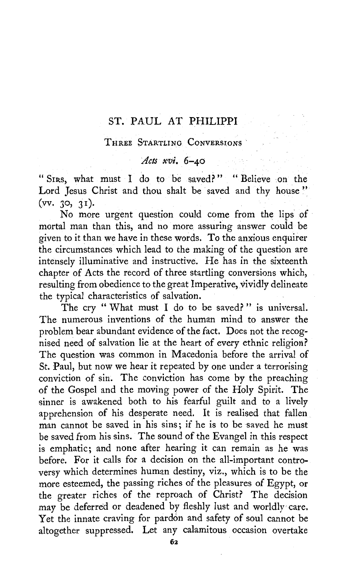# ST. PAUL AT PHILIPPI

#### THREE STARTLING CONVERSIONS .

#### *Acts xvi.* 6~40

"SIRS, what must I do to be saved?" "Believe on the Lord Jesus Christ and thou shalt be saved and thy house"  $(vv, 30, 31)$ .

No more urgent question could come from the lips of mortal man than this, and no more assuring answer could be given to it than we have in these words. To the anxious enquirer the circumstances which lead to the making of the question are intensely illuminative and instructive. He has in the sixteenth chapter of Acts the record of three startling conversions which, resulting from obedience to the great Imperative, vividly delineate the typical characteristics of salvation.

The cry "What must I do to be saved?" is universal. The numerous inventions of the human mind to answer the problem bear abundant evidence of the fact. Does not the recognised need of salvation lie at the heart of every ethnic religion? The question was common in Macedonia before the arrival of St. Paul, but now we hear it repeated by one under a terrorising conviction of sin. The conviction has come by the preaching of the Gospel and the moving power of the Holy Spirit. The sinner is awakened both to his fearful guilt and to a lively apprehension of his desperate need. It is realised that fallen man cannot be saved in his sins; if he is to be saved he must be saved from his sins. The sound of the Evangel in this respect is emphatic; and none after hearing it can remain as he was before. For it calls for a decision on the all-important controversy which determines human destiny, viz., which is to be the more esteemed, the passing riches of the pleasures of Egypt, or the greater riches of the reproach of Christ? The decision may be deferred or deadened by fleshly lust and worldly care. Yet the innate craving for pardon and safety of soul cannot be altogether suppressed. Let any calamitous occasion overtake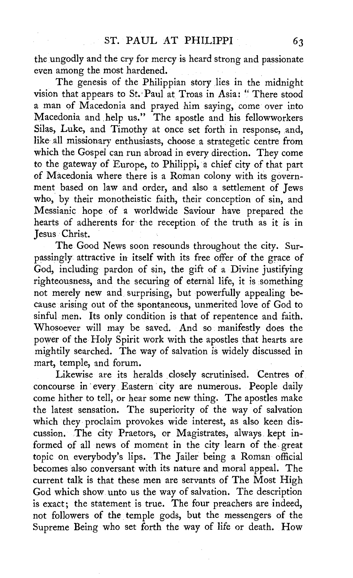the ungodly and the cry for mercy is heard strong and passionate even among the most hardened.

The genesis of the Philippian story lies in the midnight vision that appears *to* St.· Paul at Troas in Asia: " There stood a man of Macedonia and prayed him saying, come over into Macedonia and ,help us." The apostle and his fellowworkers Silas, Luke, and Timothy at once set forth in response, and, like all missionary enthusiasts, choose a strategetic centre from which the Gospel can run abroad in every direction. They come *to* the gateway of Europe, *to* Philippi, a chief city of that part of Macedonia where there is a Roman colony with its government based on law and order, and also a settlement of Jews who, by their monotheistic faith, their conception of sin, and Messianic hope of a worldwide Saviour have prepared the hearts of adherents for the reception of the truth as it is in Jesus · Christ.

The Good News soon resounds throughout the city. Surpassingly attractive in itself with its free offer of the grace of God, including pardon of sin, the gift of a Divine justifying righteousness, and the securing of eternal life, it is something not merely new and. surprising, but powerfully appealing because arising out of the spontaneous, unmerited love of God *to*  sinful men. Its only condition is that of repentence and faith. Whosoever will may be saved. And so manifestly does the power of the Holy Spirit work with the apostles that hearts are mightily searched. The way of salvation is widely discussed in mart, temple, and forum.

Likewise are its heralds closely scrutinised. Centres of concourse in every Eastern city are numerous. People daily come hither *to* tell, or hear some new thing. The apostles make the latest sensation. The superiority of the way of salvation which they proclaim provokes wide interest, as also keen discussion. The city Praetors, or Magistrates, always kept informed of all news of moment in the city learn of the. great topic on everybody's lips. The Jailer being a Roman official becomes also conversant with its nature and moral appeal. The current talk is that these men are servants of The Most High God which show unto us the way of salvation. The description is exact; the statement is true. The four preachers are indeed, not followers of the temple gods, but the messengers of the Supreme Being who set forth the way of life or death. How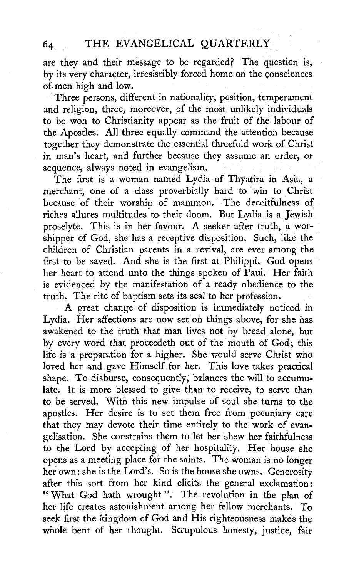# 64 THE EVANGELICAL QUARTERLY

are they and their message to be regarded? The question is, by its very character, irresistibly forced home on the consciences of. men high and low.

Three persons, different in nationality, position, temperament and religion, three, moreover, of the most unlikely individuals to be won to Christianity appear as the fruit of the labour of the Apostles. All three equally command the attention because together they demonstrate the essential threefold work of Christ in man's heart, and further because they assume an order, or sequence, always noted in evangelism.

The first is a woman named Lydia of Thyatira in Asia, a merchant, one of a class proverbially hard to win to Christ because of their worship of mammon. The deceitfulness of riches allures multitudes to their doom. But Lydia is a Jewish proselyte. This is in her favour. A seeker after truth, a worshipper of God, she has a receptive disposition. Such, like the children of Christian parents in a revival, are ever among the first to be saved. And she is the first at Philippi. God opens her heart to attend unto the things spoken of Paul. Her faith is evidenced by the manifestation of a ready obedience to the truth. The rite of baptism sets its seal to her profession.

A great change of disposition is immediately noticed in Lydia. Her affections are now set on things above, for she has awakened to the truth that man lives not by bread alone, but by every word that proceedeth out of the mouth of God; this life is a preparation for a higher. She would serve Christ who loved her and gave Himself for her. This love takes practical shape. To disburse, consequently, balances the will to accumulate. It is more blessed to give than to receive, to serve than to be served. With this new impulse of soul she turns to the apostles. Her desire is to set them free from pecuniary care that they may devote their time entirely to the work of evangelisation. She constrains them to let her shew her faithfulness to the Lord by accepting of her hospitality. Her house she opens as a meeting place for the saints. The woman is no longer her own: she is the Lord's. So is the house she owns. Generosity after this sort from her kind elicits the general exclamation: " What God hath wrought ". The revolution in the plan of her life creates astonishment among her fellow merchants. To seek first the kingdom of God and His righteousness makes the whole bent of her thought. Scrupulous honesty, justice, fair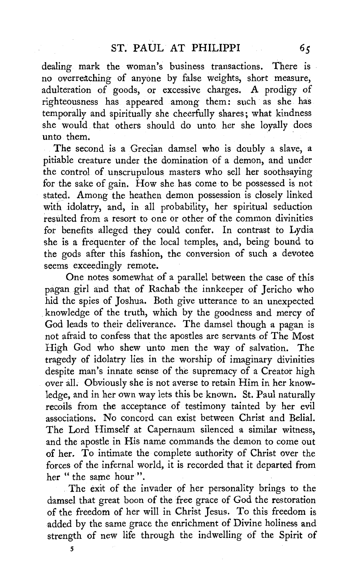dealing mark the woman's business transactions. There is no overreaching of anyone by false weights, short measure, adulteration of goods, or excessive charges. A prodigy of righteousness has appeared among them: such as she has temporally and spiritually she cheerfully shares; what kindness she would that others should do unto. her she loyally does unto them.

The second is a Grecian damsel who is doubly a slave, a pitiable creature under the domination of a demon, and under the control of unscrupulous masters who sell her soothsaying for the sake of gain. How she has come to be possessed is not stated. Among the heathen demon possession is closely linked with idolatry, and, in all probability, her spiritual seduction resulted from a resort to one or other of the common divinities for benefits alleged they could confer. In contrast to Lydia she is a frequenter of the local temples, and, being bound to the gods after this fashion, the conversion of such a devotee seems exceedingly remote.

One notes somewhat of a parallel between the case of this pagan girl and that of Rachab the innkeeper of Jericho who hid the spies of Joshua. Both give utterance to an unexpected knowledge of the truth, which by the goodness and mercy of God leads to their deliverance. The damsel though a pagan is not afraid to. confess that the apostles are servants of The Most High God who shew unto men the way of salvation. The tragedy of idolatry lies in the worship of imaginary divinities despite man's innate sense of the supremacy of a Creator high over all. Obviously she is not averse to retain Him in her knowledge, and in her own way lets this be known. St. Paul naturally recoils from the acceptance of testimony tainted by her evil associations. No concord can exist between Christ and Belial. The Lord Himself at Capernaum silenced a similar witness, and the apostle in His name commands the demon to come out of her. To intimate the complete authority of Christ over the forces of the infernal world, it is recorded that it departed from her " the same hour".

The exit of the invader of her personality brings to the damsel that great boon of the free grace of God the restoration of the freedom of her will in Christ Jesus. To this freedom is added by the same grace the enrichment of Divine holiness and strength of new life through the indwelling of the Spirit of

5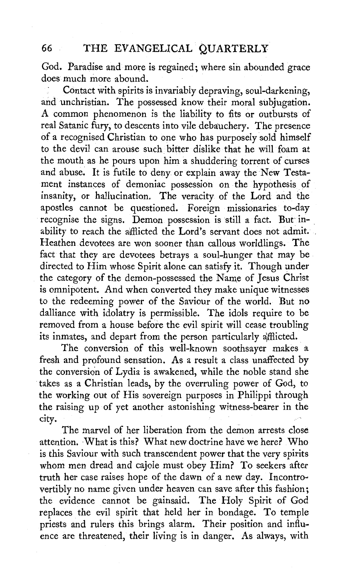## 66 THE EVANGELICAL QUARTERLY

God. Paradise and more is regained; where sin abounded grace does much more abound.

Contact with spirits is invariably depraving, soul-darkening, and unchristian. The possessed know their moral subjugation. A common phenomenon is the liability to fits or outbursts of real Satanic fury, to descents into vile debauchery. The presence of a recognised Christian to one who has purposely sold himself to the devil can arouse such bitter dislike that he will foam at the mouth as he pours upon him a shuddering torrent of curses and abuse. It is futile to deny or explain away the New Testament instances of demoniac possession on the hypothesis of insanity, or hallucination. The veracity of the Lord and the apostles cannot be questioned. Foreign missionaries to-day recognise the signs. Demon possession is still a fact. But inability to reach the afflicted the Lord's servant does not admit. Heathen devotees are won sooner than callous worldlings. The fact that they are devotees betrays a soul-hunger that may be directed to Him whose Spirit alone can satisfy it. Though under the category of the demon-possessed the Name of Jesus Christ is omnipotent. And when converted they make unique witnesses to the redeeming power of the Saviour of the world. But no dalliance with idolatry is permissible. The idols require to be removed from a house before the evil spirit will cease troubling its inmates, and depart from the person particularly afflicted.

The conversion of this well-known soothsayer makes a fresh and profound sensation. As a result a class unaffected by the conversion of Lydia is awakened, while the noble stand she takes as a Christian leads, by the overruling power of God, to the working out of His sovereign purposes in Philippi through the raising up of yet another astonishing witness-bearer in the city.

The marvel of her liberation from the demon arrests close attention. What is this? What new doctrine have we here? Who is this Saviour with such transcendent power that the very spirits whom men dread and cajole must obey Him? To seekers after truth her case raises hope of the dawn of a new day. Incontrovertibly no name given under heaven can save after this fashion; the evidence cannot be gainsaid. The Holy Spirit of God replaces the evil spirit that held her in bondage. To temple priests and rulers this brings alarm. Their position and influence are threatened, their living is in danger. As always, with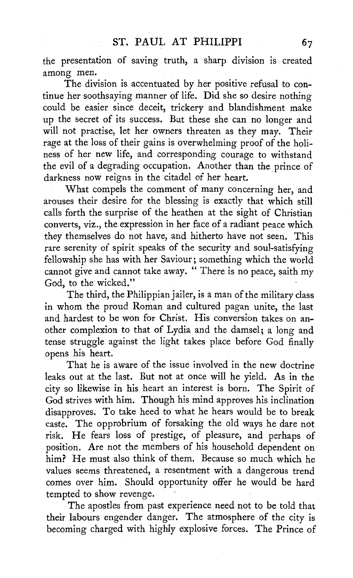the presentation of saving truth, a sharp division is created among men.

The division is accentuated by her positive refusal to continue her soothsaying manner of life. Did she so desire nothing could be easier since deceit, trickery and blandishment make up the secret of its success. But these she can no longer and will not practise, let her owners threateh as they may. Their rage at the loss of their gains is overwhelming proof of the holiness of her new life, and corresponding courage to withstand the evil of a degrading occupation. Another than the prince of darkness now reigns in the citadel of her heart.

What compels the comment of many concerning her, and arouses their desire for the blessing is exactly that which still calls forth the surprise of the heathen at the sight of Christian converts, **viz.,** the expression in her face of a radiant peace which they themselves do not have, and hitherto have not seen. This rare serenity of spirit speaks of the security and soul-satisfying fellowship she has with her Saviour; something which the world cannot give and cannot take away. " There is no peace, saith my God, to the wicked."

The third, the Philippian jailer, is a man of the military class in whom the proud Roman and cultured pagan unite, the last and hardest to be won for Christ. His conversion takes on another complexion to that of Lydia and the damsel; a long and tense struggle against the light takes place before God finally opens his heart.

That he is aware of the issue involved in the new doctrine leaks out at the last. But not at once will he yield. As in the city so likewise in his heart an interest is born. The Spirit of God strives with him. Though his mind approves his inclination disapproves. To take heed to what he hears would be to break caste. The opprobrium of forsaking the old ways he dare not risk. He fears loss of prestige, of pleasure, and perhaps of position. Are not the members of his household dependent on him? He must also think of them. Because so much which he values seems threatened, a resentment with a dangerous trend comes over him. Should opportunity offer he would be hard tempted to show revenge.

The apostles from past experience need not to be told that their labours engender danger. The atmosphere of the city is becoming charged with highly explosive forces. The Prince of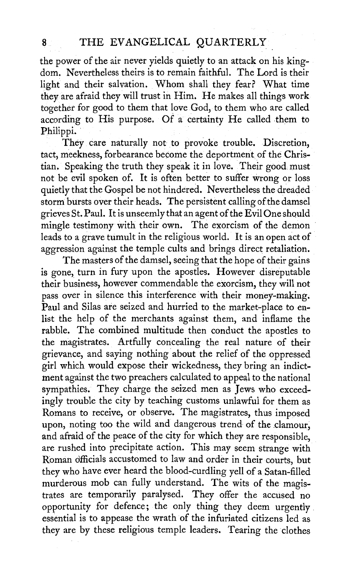the power of the air never yields quietly to an attack on his kingdom. Nevertheless theirs is to remain faithful. The Lord is their light and their salvation. Whom shall they fear? What time they are afraid they will trust in Him. He makes all things work together for good to them that love God, to them who are called according to His purpose. Of a certainty He called them to Philippi.

They care naturally not to provoke trouble. Discretion, tact, meekness, forbearance become the deportment of the Christian. Speaking the truth they speak it in love. Their good must not be evil spoken of. It is often better to suffer wrong or loss quietly that the Gospel *be* not hindered. Nevertheless the dreaded storm bursts over their heads. The persistent calling of the damsel grieves St. Paul. It is unseemly that an agent of the Evil One should mingle testimony with their own. The exorcism of the demon leads to a grave tumult in the religious world. It is an open act of aggression against the temple cults and brings direct retaliation.

The masters of the damsel, seeing that the hope of their gains is gone, turn in fury upon the apostles. However disreputable their business, however commendable the exorcism, they will not pass over in silence this interference with their money-making. Paul and Silas are seized and hurried to the market-place to enlist the help of the merchants against them, and inflame the rabble. The combined multitude then conduct the apostles to the magistrates. Artfully concealing the real nature of their grievance, and saying nothing about the relief of the oppressed girl which would expose their wickedness, they bring an indictment against the two preachers calculated to appeal to the national sympathies. They charge the seized men as Jews who exceedingly trouble the city by teaching customs unlawful for them as Romans to receive, or observe. The magistrates, thus imposed upon, noting too the wild and dangerous trend of the clamour, and afraid of the peace of the city for which they are responsible, are rushed into precipitate action. This may seem strange with Roman officials accustomed to law and order in their courts, but they who have ever heard the blood-curdling yell of a Satan-filled murderous mob can fully understand. The wits of the magistrates are temporarily paralysed. They offer the accused no opportunity for defence; the only thing they deem urgently essential is to appease the wrath of the infuriated citizens led as they are by these religious temple leaders. Tearing the clothes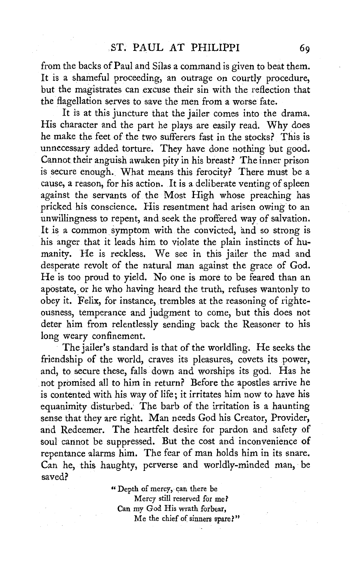from the backs of Paul and Silas a command is given to beat them. It is a shameful proceeding, an outrage on courtly procedure, but the magistrates can excuse their sin with the reflection that the flagellation serves to save the men from a worse fate.

It is at this juncture that the jailer comes into the drama. His character and the part he plays are easily read. Why does he make the feet of the two sufferers fast in the stocks? This is unnecessary added torture. They have done nothing but good. Cannot their anguish awaken pity in his breast? The inner prison is secure enough. What means this ferocity? There must be a cause, a reason, for his action. It is a deliberate venting of spleen against the servants of the Most High whose preaching has pricked his conscience. His resentment had arisen owing to an unwillingness to repent, and seek the proffered way of salvation. It is a common symptom with the convicted, and so strong is his anger that it leads him to violate the plain instincts of humanity. He is reckless. We see in this jailer the mad and desperate revolt of the natural man against the grace of God. He is too proud to yield. No one is more to be feared than an apostate, or he who having heard the truth, refuses wantonly to obey it. Felix, for instance, trembles at the reasoning of righteousness, temperance and judgment to come, but this does not deter him from relentlessly sending back the Reasoner to his long weary confinement.

The jailer's standard is that of the worldling. He seeks the friendship of the world, craves its pleasures, covets its power, and, to secure these, falls down and worships its god. Has he not promised all to him in return? Before the apostles arrive he is contented with his way of life; it irritates him now to have his equanimity disturbed.· The barb of the irritation is a haunting sense that they are right. Man needs God his Creator, Provider, and Redeemer. The heartfelt desire for pardon and safety of soul cannot be suppressed. But the cost and inconvenience of repentance alarms him. The fear of man holds him in its snare. Can he, this haughty, perverse and worldly-minded man, be saved?

> " Depth of mercy, can there be Mercy still reserved for me? Can my God His wrath forbear, Me the chief of sinners spare?"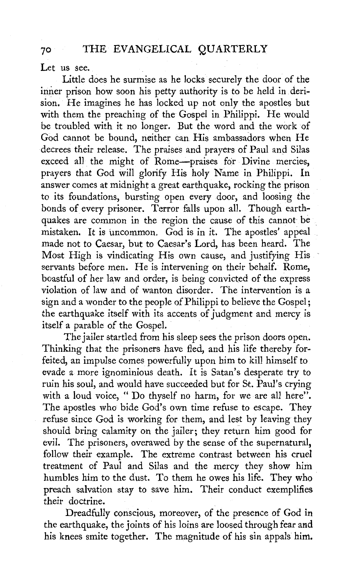## 70 THE EVANGELICAL QUARTERLY

Let us see.

Little does he surmise as he locks securely the door of the inner prison how soon his petty authority is to be held in derision. He imagines he has locked up not only the apostles but with them the preaching of the Gospel in Philippi. He would be troubled with it no longer. But the word and the work of God cannot be bound, neither can His ambassadors when He decrees their release. The praises and prayers of Paul and Silas exceed all the might of Rome-praises for Divine mercies, prayers that God will glorify His holy Name in Philippi. In answer comes at midnight a great earthquake, rocking the prison to its foundations, bursting open every door, and loosing the bonds of every prisoner. Terror falls upon all. Though earthquakes are common in the region the cause of this cannot be mistaken. It is uncommon. God is in it. The apostles' appeal made not to Caesar, but to Caesar's Lord, has been heard. The Most High is vindicating His own cause, and justifying His servants before men. He is intervening on their behalf. Rome, boastful of her law and order, is being convicted of the express violation of law and of wanton disorder. The intervention is a sign and a wonder to the people of Philippi to believe the Gospel; the earthquake itself with its accents of judgment and mercy is itself a parable of the Gospel.

The jailer startled from his sleep sees the prison doors open. Thinking that the prisoners have fled, and his life thereby forfeited, an impulse comes powerfully upon him to kill himself to evade a more ignominious death. It is Satan's desperate try to ruin his soul, and would have succeeded but for St. Paul's crying with a loud voice, " Do thyself no harm, for we are all here". The apostles who bide God's own time refuse to escape. They refuse since God is working for them, and lest by leaving they should bring calamity on the jailer; they return him good for evil. The prisoners, overawed by the sense of the supernatural, follow their example. The extreme contrast between his cruel treatment of Paul and Silas and the mercy they show him humbles him to the dust. To them he owes his life. They who preach salvation stay to save him. Their conduct exemplifies their doctrine.

Dreadfully conscious, moreover, of the presence of God in the earthquake, the joints of his loins are loosed through fear and his knees smite together. The magnitude of his sin appals him.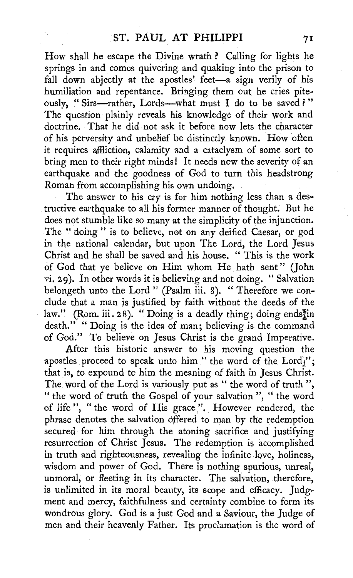How shall he escape the Divine wrath ? Calling for lights he springs in and comes quivering and quaking into the prison to fall down abjectly at the apostles' feet-a sign verily of his humiliation and repentance. Bringing them out he cries piteously, "Sirs-rather, Lords-what must I do to be saved?" The question plainly reveals his knowledge of their work and doctrine. That he did not ask it before now lets the character of his perversity and unbelief be distinctly known. How often it requires affliction, calamity and a cataclysm of some sort to bring men to their right minds! It needs now the severity of an earthquake and the goodness of God to turn this headstrong Roman from accomplishing his own undoing.

The answer to his cry is for him nothing less than a destructive earthquake to all his former manner of thought. But he does not stumble like so many at the simplicity of the injunction. The "doing" is to believe, not on any deified Caesar, or god in the national calendar, but upon The Lord, the Lord Jesus Christ and he shall be saved and his house. " This is the work of God that ye believe on Him whom He hath sent" (John vi. 29). In other words it is believing and not doing. " Salvation belongeth unto the Lord" (Psalm iii. 8). "Therefore we conclude that a man is justified by faith without the deeds of the law." (Rom. iii. 28). "Doing is a deadly thing; doing endstin death." " Doing is the idea of man; believing is the command of God." To believe on Jesus Christ is the grand Imperative.

After this historic answer to his moving question the apostles proceed to speak unto him " the word of the Lord"; that is, to expound to him the meaning of faith in Jesus Christ. The word of the Lord is variously put as " the word of truth", " the word of truth the Gospel of your salvation", " the word of life", "the word of His grace". However rendered, the phrase denotes the salvation offered to man by the redemption secured for him through the atoning sacrifice and justifying resurrection of Christ Jesus. The redemption is accomplished in truth and righteousness, revealing the infinite love, holiness, wisdom and power of God. There is nothing spurious, unreal, unmoral, or fleeting in its character. The salvation, therefore, is unlimited in its moral beauty, its scope and efficacy. Judgment and mercy, faithfulness and certainty combine to form its wondrous glory. God is a just God and a Saviour, the Judge of men and their heavenly Father. Its proclamation is the word of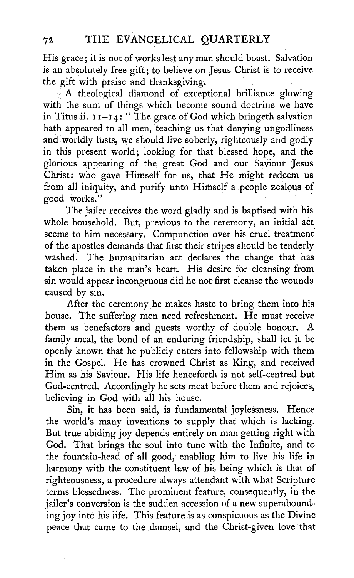His grace; it is not of works lest any man should boast. Salvation is an absolutely free gift; to believe on Jesus Christ is to receive the gift with praise and thanksgiving.

A theological diamond of exceptional brilliance glowing with the sum of things which become sound doctrine we have in Titus ii.  $11-I4$ : "The grace of God which bringeth salvation hath appeared to all men, teaching us that denying ungodliness and worldly lusts, we should live soberly, righteously and godly in this present world; looking for that blessed hope, and the glorious appearing of the great God and our Saviour Jesus Christ: who gave Himself for us, that He might redeem us from all iniquity, and purify unto Himself a people zealous of good works."

The jailer receives the word gladly and is baptised with his whole household. But, previous to the ceremony, an initial act seems to him necessary. Compunction over his cruel treatment of the apostles demands that first their stripes should be tenderly washed. The humanitarian act declares the change that has taken place in the man's heart. His desire for cleansing from sin would appear incongruous did he not first cleanse the wounds caused by sin.

After the ceremony he makes haste to bring them into his house. The suffering men need refreshment. He must receive them as benefactors and guests worthy of double honour. A family meal, the bond of an enduring friendship, shall let it be openly known that he publicly enters into fellowship with them in the Gospel. He has crowned Christ as King, and received Him as his Saviour. His life henceforth is not self-centred but God-centred. Accordingly he sets meat before them and rejoices, believing in God with all his house.

Sin, it has been said, is fundamental joylessness. Hence the world's many inventions to supply that which is lacking. But true abiding joy depends entirely on man getting right with God. That brings the soul into tune with the Infinite, and to the fountain-head of all good, enabling him to live his life in harmony with the constituent law of his being which is that of righteousness, a procedure always attendant with what Scripture terms blessedness. The prominent feature, consequently, in the jailer's conversion is the sudden accession of a new superabounding joy into his life. This feature is as conspicuous as the **Divine**  peace that came to the damsel, and the Christ-given love that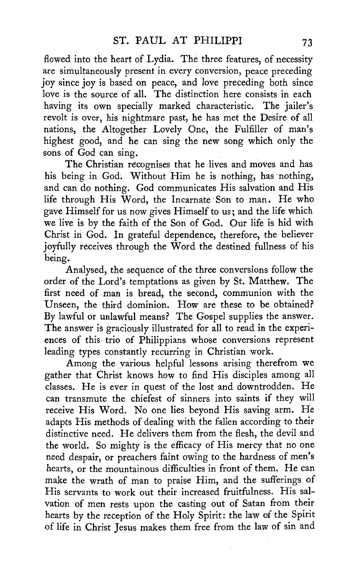flowed into the heart of Lydia. The three features, of necessity are simultaneously present in every conversion, peace preceding joy since joy is based on peace, and 'love preceding both since love is the source of all. The distinction here consists in each having its own specially marked characteristic. The jailer's revolt is over, his nightmare past, he has met the Desire of all nations, the Altogether Lovely One, the Fulfiller of man's highest good, and he can sing the new song which only the sons of God can sing.

The Christian recognises that he lives and moves and has his being in God. Without Him he is nothing, has nothing, and can do nothing. God communicates His salvation and His life through His Word, the Incarnate Son to man. He who gave Himself for us now gives Himself to us; and the life which we live is by the faith of the Son of God. Our life is hid with Christ in God. In grateful dependence, therefore, the believer joyfully receives through the Word the destined fullness of his being.

Analysed, the sequence of the three conversions follow the order of the Lord's temptations as given by St. Matthew. The first need of man is bread, the second, communion with the Unseen, the third dominion. How are these to be obtained? By lawful or unlawful means? The Gospel supplies the answer. The answer is graciously illustrated for all to read in the experiences of this trio of Philippians whose conversions represent leading types constantly recurring in Christian work.

Among the various helpful lessons arising therefrom we gather that Christ knows how to find His disciples among all classes. He is ever in quest of the lost and downtrodden. He can transmute the chiefest of sinners into saints if they will receive His Word. No one lies beyond His saving arm. He adapts His methods of dealing with the fallen according to their distinctive need. He delivers them from the flesh, the devil and the world. So mighty is the efficacy of His mercy that no one need despair, or preachers faint owing to the hardness of men's hearts, or the mountainous difficulties in front of them. He can make the wrath of man to praise Him, and the sufferings of His servants to work out their increased fruitfulness. His salvation of men rests upon the casting out of Satan from their hearts by the reception of the Holy Spirit: the law of the Spirit of life in Christ Jesus makes them free from the law of sin and